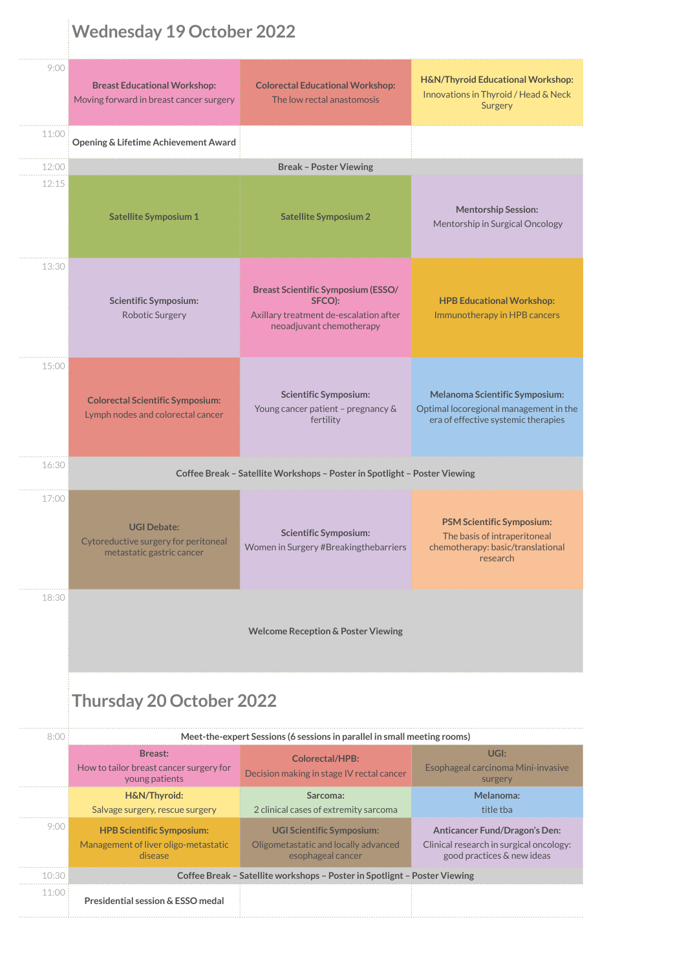## **Wednesday 19 October 2022**

| 9:00  | <b>Breast Educational Workshop:</b><br>Moving forward in breast cancer surgery          | <b>Colorectal Educational Workshop:</b><br>The low rectal anastomosis                                                     | H&N/Thyroid Educational Workshop:<br>Innovations in Thyroid / Head & Neck<br>Surgery                                   |  |  |  |  |
|-------|-----------------------------------------------------------------------------------------|---------------------------------------------------------------------------------------------------------------------------|------------------------------------------------------------------------------------------------------------------------|--|--|--|--|
| 11:00 | Opening & Lifetime Achievement Award                                                    |                                                                                                                           |                                                                                                                        |  |  |  |  |
| 12:00 | <b>Break - Poster Viewing</b>                                                           |                                                                                                                           |                                                                                                                        |  |  |  |  |
| 12:15 | <b>Satellite Symposium 1</b>                                                            | <b>Satellite Symposium 2</b>                                                                                              | <b>Mentorship Session:</b><br>Mentorship in Surgical Oncology                                                          |  |  |  |  |
| 13:30 | <b>Scientific Symposium:</b><br>Robotic Surgery                                         | <b>Breast Scientific Symposium (ESSO/</b><br>SFCO):<br>Axillary treatment de-escalation after<br>neoadjuvant chemotherapy | <b>HPB Educational Workshop:</b><br>Immunotherapy in HPB cancers                                                       |  |  |  |  |
| 15:00 |                                                                                         |                                                                                                                           |                                                                                                                        |  |  |  |  |
|       | <b>Colorectal Scientific Symposium:</b><br>Lymph nodes and colorectal cancer            | <b>Scientific Symposium:</b><br>Young cancer patient - pregnancy &<br>fertility                                           | <b>Melanoma Scientific Symposium:</b><br>Optimal locoregional management in the<br>era of effective systemic therapies |  |  |  |  |
| 16:30 | Coffee Break - Satellite Workshops - Poster in Spotlight - Poster Viewing               |                                                                                                                           |                                                                                                                        |  |  |  |  |
| 17:00 | <b>UGI Debate:</b><br>Cytoreductive surgery for peritoneal<br>metastatic gastric cancer | <b>Scientific Symposium:</b><br>Women in Surgery #Breakingthebarriers                                                     | <b>PSM Scientific Symposium:</b><br>The basis of intraperitoneal<br>chemotherapy: basic/translational<br>research      |  |  |  |  |
| 18:30 |                                                                                         |                                                                                                                           |                                                                                                                        |  |  |  |  |
|       |                                                                                         | <b>Welcome Reception &amp; Poster Viewing</b>                                                                             |                                                                                                                        |  |  |  |  |
|       | <b>Thursday 20 October 2022</b>                                                         |                                                                                                                           |                                                                                                                        |  |  |  |  |
| 8:00  |                                                                                         | Meet-the-expert Sessions (6 sessions in parallel in small meeting rooms)                                                  |                                                                                                                        |  |  |  |  |
|       | <b>Breast:</b><br>How to tailor breast cancer surgery for<br>young patients             | <b>Colorectal/HPB:</b><br>Decision making in stage IV rectal cancer                                                       | UGI:<br>Esophageal carcinoma Mini-invasive<br>surgery                                                                  |  |  |  |  |
|       | H&N/Thyroid:<br>Salvage surgery, rescue surgery                                         | Sarcoma:<br>2 clinical cases of extremity sarcoma                                                                         | Melanoma:<br>title tba                                                                                                 |  |  |  |  |
|       | <b>HPB Scientific Symposium:</b>                                                        | <b>UGI Scientific Symposium:</b>                                                                                          | Anticancer Fund/Dragon's Den:                                                                                          |  |  |  |  |
| 9:00  | Management of liver oligo-metastatic<br>disease                                         | Oligometastatic and locally advanced<br>esophageal cancer                                                                 | Clinical research in surgical oncology:<br>good practices & new ideas                                                  |  |  |  |  |
| 10:30 |                                                                                         | Coffee Break - Satellite workshops - Poster in Spotlignt - Poster Viewing                                                 |                                                                                                                        |  |  |  |  |